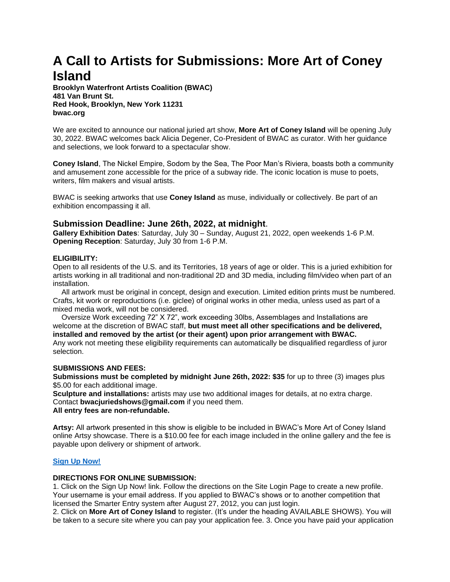# **A Call to Artists for Submissions: More Art of Coney Island**

**Brooklyn Waterfront Artists Coalition (BWAC) 481 Van Brunt St. Red Hook, Brooklyn, New York 11231 bwac.org**

We are excited to announce our national juried art show, **More Art of Coney Island** will be opening July 30, 2022. BWAC welcomes back Alicia Degener, Co-President of BWAC as curator. With her guidance and selections, we look forward to a spectacular show.

**Coney Island**, The Nickel Empire, Sodom by the Sea, The Poor Man's Riviera, boasts both a community and amusement zone accessible for the price of a subway ride. The iconic location is muse to poets, writers, film makers and visual artists.

BWAC is seeking artworks that use **Coney Island** as muse, individually or collectively. Be part of an exhibition encompassing it all.

# **Submission Deadline: June 26th, 2022, at midnight**.

**Gallery Exhibition Dates**: Saturday, July 30 – Sunday, August 21, 2022, open weekends 1-6 P.M. **Opening Reception**: Saturday, July 30 from 1-6 P.M.

## **ELIGIBILITY:**

Open to all residents of the U.S. and its Territories, 18 years of age or older. This is a juried exhibition for artists working in all traditional and non-traditional 2D and 3D media, including film/video when part of an installation.

All artwork must be original in concept, design and execution. Limited edition prints must be numbered. Crafts, kit work or reproductions (i.e. giclee) of original works in other media, unless used as part of a mixed media work, will not be considered.

Oversize Work exceeding 72" X 72", work exceeding 30lbs, Assemblages and Installations are welcome at the discretion of BWAC staff, **but must meet all other specifications and be delivered, installed and removed by the artist (or their agent) upon prior arrangement with BWAC.**  Any work not meeting these eligibility requirements can automatically be disqualified regardless of juror selection.

## **SUBMISSIONS AND FEES:**

**Submissions must be completed by midnight June 26th, 2022: \$35** for up to three (3) images plus \$5.00 for each additional image.

**Sculpture and installations:** artists may use two additional images for details, at no extra charge. Contact **bwacjuriedshows@gmail.com** if you need them. **All entry fees are non-refundable.** 

**Artsy:** All artwork presented in this show is eligible to be included in BWAC's More Art of Coney Island online Artsy showcase. There is a \$10.00 fee for each image included in the online gallery and the fee is payable upon delivery or shipment of artwork.

# **[Sign Up Now!](https://www.smarterentry.com/CallsForEntry)**

# **DIRECTIONS FOR ONLINE SUBMISSION:**

1. Click on the Sign Up Now! link. Follow the directions on the Site Login Page to create a new profile. Your username is your email address. If you applied to BWAC's shows or to another competition that licensed the Smarter Entry system after August 27, 2012, you can just login.

2. Click on **More Art of Coney Island** to register. (It's under the heading AVAILABLE SHOWS). You will be taken to a secure site where you can pay your application fee. 3. Once you have paid your application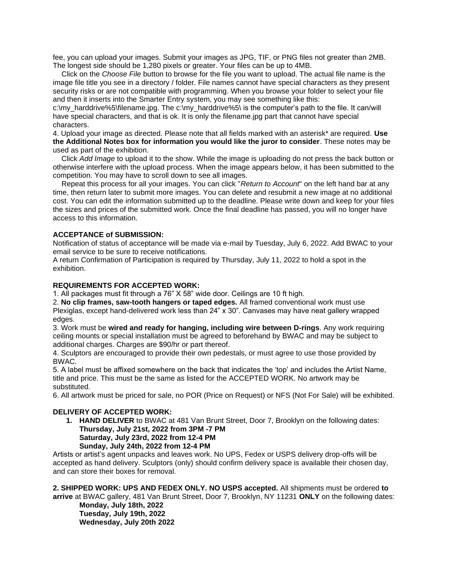fee, you can upload your images. Submit your images as JPG, TIF, or PNG files not greater than 2MB. The longest side should be 1,280 pixels or greater. Your files can be up to 4MB.

Click on the *Choose File* button to browse for the file you want to upload. The actual file name is the image file title you see in a directory / folder. File names cannot have special characters as they present security risks or are not compatible with programming. When you browse your folder to select your file and then it inserts into the Smarter Entry system, you may see something like this:

c:\my\_harddrive%5\filename.jpg. The c:\my\_harddrive%5\ is the computer's path to the file. It can/will have special characters, and that is ok. It is only the filename.jpg part that cannot have special characters.

4. Upload your image as directed. Please note that all fields marked with an asterisk\* are required. **Use the Additional Notes box for information you would like the juror to consider**. These notes may be used as part of the exhibition.

Click *Add Image* to upload it to the show. While the image is uploading do not press the back button or otherwise interfere with the upload process. When the image appears below, it has been submitted to the competition. You may have to scroll down to see all images.

Repeat this process for all your images. You can click "*Return to Account*" on the left hand bar at any time, then return later to submit more images. You can delete and resubmit a new image at no additional cost. You can edit the information submitted up to the deadline. Please write down and keep for your files the sizes and prices of the submitted work. Once the final deadline has passed, you will no longer have access to this information.

## **ACCEPTANCE of SUBMISSION:**

Notification of status of acceptance will be made via e-mail by Tuesday, July 6, 2022. Add BWAC to your email service to be sure to receive notifications.

A return Confirmation of Participation is required by Thursday, July 11, 2022 to hold a spot in the exhibition.

## **REQUIREMENTS FOR ACCEPTED WORK:**

1. All packages must fit through a 76" X 58" wide door. Ceilings are 10 ft high.

2. **No clip frames, saw-tooth hangers or taped edges.** All framed conventional work must use Plexiglas, except hand-delivered work less than 24" x 30". Canvases may have neat gallery wrapped edges.

3. Work must be **wired and ready for hanging, including wire between D-rings**. Any work requiring ceiling mounts or special installation must be agreed to beforehand by BWAC and may be subject to additional charges. Charges are \$90/hr or part thereof.

4. Sculptors are encouraged to provide their own pedestals, or must agree to use those provided by BWAC.

5. A label must be affixed somewhere on the back that indicates the 'top' and includes the Artist Name, title and price. This must be the same as listed for the ACCEPTED WORK. No artwork may be substituted.

6. All artwork must be priced for sale, no POR (Price on Request) or NFS (Not For Sale) will be exhibited.

## **DELIVERY OF ACCEPTED WORK:**

**1. HAND DELIVER** to BWAC at 481 Van Brunt Street, Door 7, Brooklyn on the following dates: **Thursday, July 21st, 2022 from 3PM -7 PM Saturday, July 23rd, 2022 from 12-4 PM Sunday, July 24th, 2022 from 12-4 PM** 

Artists or artist's agent unpacks and leaves work. No UPS, Fedex or USPS delivery drop-offs will be accepted as hand delivery. Sculptors (only) should confirm delivery space is available their chosen day, and can store their boxes for removal.

**2. SHIPPED WORK: UPS AND FEDEX ONLY. NO USPS accepted.** All shipments must be ordered **to arrive** at BWAC gallery, 481 Van Brunt Street, Door 7, Brooklyn, NY 11231 **ONLY** on the following dates: **Monday, July 18th, 2022**

**Tuesday, July 19th, 2022 Wednesday, July 20th 2022**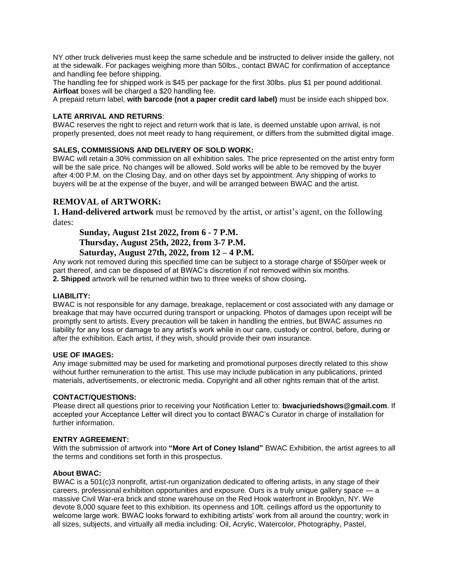NY other truck deliveries must keep the same schedule and be instructed to deliver inside the gallery, not at the sidewalk. For packages weighing more than 50lbs., contact BWAC for confirmation of acceptance and handling fee before shipping.

The handling fee for shipped work is \$45 per package for the first 30lbs. plus \$1 per pound additional. **Airfloat** boxes will be charged a \$20 handling fee.

A prepaid return label, **with barcode (not a paper credit card label)** must be inside each shipped box.

## **LATE ARRIVAL AND RETURNS**:

BWAC reserves the right to reject and return work that is late, is deemed unstable upon arrival, is not properly presented, does not meet ready to hang requirement, or differs from the submitted digital image.

## **SALES, COMMISSIONS AND DELIVERY OF SOLD WORK:**

BWAC will retain a 30% commission on all exhibition sales. The price represented on the artist entry form will be the sale price. No changes will be allowed. Sold works will be able to be removed by the buyer after 4:00 P.M. on the Closing Day, and on other days set by appointment. Any shipping of works to buyers will be at the expense of the buyer, and will be arranged between BWAC and the artist.

# **REMOVAL of ARTWORK:**

**1. Hand-delivered artwork** must be removed by the artist, or artist's agent, on the following dates:

**Sunday, August 21st 2022, from 6 - 7 P.M. Thursday, August 25th, 2022, from 3-7 P.M. Saturday, August 27th, 2022, from 12 – 4 P.M.**

Any work not removed during this specified time can be subject to a storage charge of \$50/per week or part thereof, and can be disposed of at BWAC's discretion if not removed within six months. **2. Shipped** artwork will be returned within two to three weeks of show closing**.** 

## **LIABILITY:**

BWAC is not responsible for any damage, breakage, replacement or cost associated with any damage or breakage that may have occurred during transport or unpacking. Photos of damages upon receipt will be promptly sent to artists. Every precaution will be taken in handling the entries, but BWAC assumes no liability for any loss or damage to any artist's work while in our care, custody or control, before, during or after the exhibition. Each artist, if they wish, should provide their own insurance.

## **USE OF IMAGES:**

Any image submitted may be used for marketing and promotional purposes directly related to this show without further remuneration to the artist. This use may include publication in any publications, printed materials, advertisements, or electronic media. Copyright and all other rights remain that of the artist.

## **CONTACT/QUESTIONS:**

Please direct all questions prior to receiving your Notification Letter to: **bwacjuriedshows@gmail.com**. If accepted your Acceptance Letter will direct you to contact BWAC's Curator in charge of installation for further information.

## **ENTRY AGREEMENT:**

With the submission of artwork into **"More Art of Coney Island"** BWAC Exhibition, the artist agrees to all the terms and conditions set forth in this prospectus.

## **About BWAC:**

BWAC is a 501(c)3 nonprofit, artist-run organization dedicated to offering artists, in any stage of their careers, professional exhibition opportunities and exposure. Ours is a truly unique gallery space — a massive Civil War-era brick and stone warehouse on the Red Hook waterfront in Brooklyn, NY. We devote 8,000 square feet to this exhibition. Its openness and 10ft. ceilings afford us the opportunity to welcome large work. BWAC looks forward to exhibiting artists' work from all around the country; work in all sizes, subjects, and virtually all media including: Oil, Acrylic, Watercolor, Photography, Pastel,